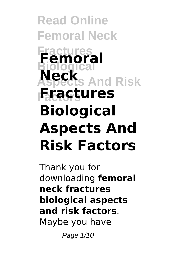**Read Online Femoral Neck Fractures Femoral Biological And Risk Factors Fractures Neck Biological Aspects And Risk Factors**

Thank you for downloading **femoral neck fractures biological aspects and risk factors**. Maybe you have

Page 1/10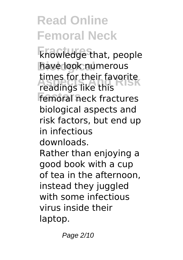**Fractures** knowledge that, people have look numerous **Assembly** times for their favorite<br>readings like this **Femoral neck fractures** readings like this biological aspects and risk factors, but end up in infectious downloads. Rather than enjoying a good book with a cup of tea in the afternoon,

instead they juggled with some infectious virus inside their laptop.

Page 2/10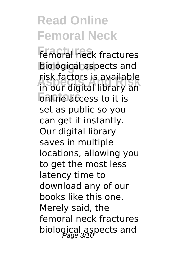**Fractures** femoral neck fractures **Biological** biological aspects and **Aspects And Risk** in our digital library an **Falline access to it is** risk factors is available set as public so you can get it instantly. Our digital library saves in multiple locations, allowing you to get the most less latency time to download any of our books like this one. Merely said, the femoral neck fractures biological aspects and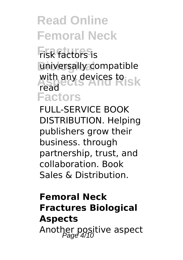**Fractures** risk factors is universally compatible with any devices to sk **Factors** read

FULL-SERVICE BOOK DISTRIBUTION. Helping publishers grow their business. through partnership, trust, and collaboration. Book Sales & Distribution.

#### **Femoral Neck Fractures Biological Aspects** Another positive aspect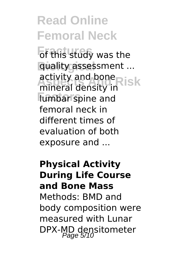**Fractures** of this study was the **Biological** quality assessment ... activity and bone<br>mineral density in ISK **Factors** lumbar spine and mineral density in femoral neck in different times of evaluation of both exposure and ...

**Physical Activity During Life Course and Bone Mass** Methods: BMD and body composition were measured with Lunar DPX-MD densitometer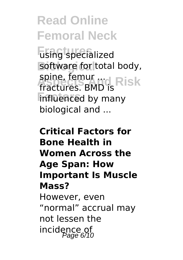**Fractures** using specialized software for total body, spine, femur ...<br>fractures BMD<sub>1s</sub> Risk **Finfluenced** by many fractures. BMD is biological and ...

**Critical Factors for Bone Health in Women Across the Age Span: How Important Is Muscle Mass?** However, even "normal" accrual may not lessen the incidence of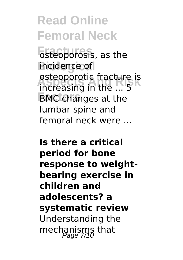**Fisteoporosis**, as the incidence of **b** but acture is<br>increasing in the ... 5 **Factors** BMC changes at the osteoporotic fracture is lumbar spine and femoral neck were ...

**Is there a critical period for bone response to weightbearing exercise in children and adolescents? a systematic review** Understanding the mechanisms that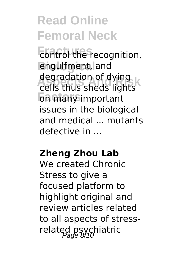**Fracture** control the recognition, **Biological** engulfment, and **Aspects And Risk** cells thus sheds lights **Factors** on many important degradation of dying issues in the biological and medical ... mutants defective in ...

#### **Zheng Zhou Lab**

We created Chronic Stress to give a focused platform to highlight original and review articles related to all aspects of stressrelated psychiatric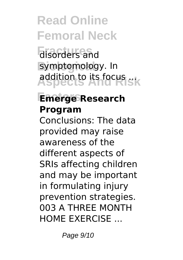**Fractures** disorders and symptomology. In **Aspects And Risk** addition to its focus ...

#### **Factors Emerge Research Program**

Conclusions: The data provided may raise awareness of the different aspects of SRIs affecting children and may be important in formulating injury prevention strategies. 003 A THREE MONTH HOME EXERCISE ...

Page  $9/10$